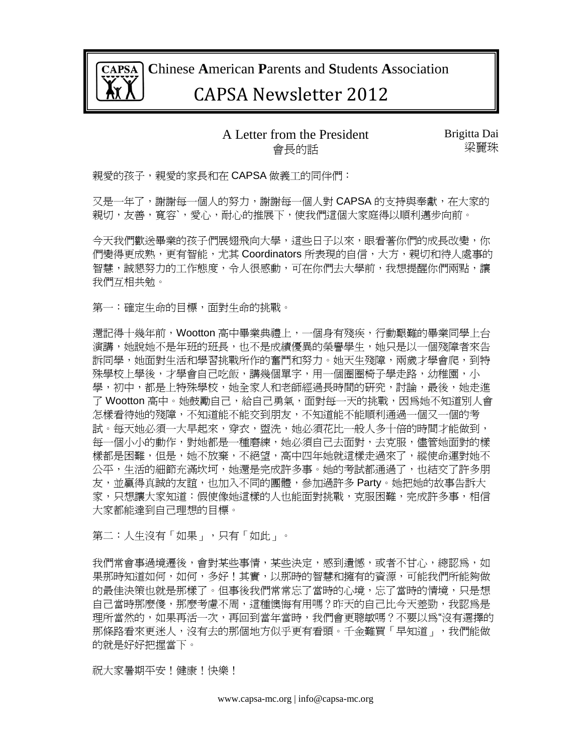

 **C**hinese **A**merican **P**arents and **S**tudents **A**ssociation

# CAPSA Newsletter 2012

#### A Letter from the President 會長的話

Brigitta Dai 梁麗珠

親愛的孩子,親愛的家長和在 CAPSA 做義工的同伴們:

又是一年了,謝謝每一個人的努力,謝謝每一個人對 CAPSA 的支持與奉獻,在大家的 親切,友善,寬容`,愛心,耐心的推展下,使我們這個大家庭得以順利邁步向前。

今天我們歡送畢業的孩子們展翅飛向大學,這些日子以來,眼看著你們的成長改變,你 們變得更成熟,更有智能,尤其 Coordinators 所表現的自信,大方,親切和待人處事的 智慧,誠懇努力的工作熊度,令人很感動,可在你們去大學前,我想提醒你們兩點,讓 我們互相共勉。

第一:確定生命的目標,面對生命的挑戰。

還記得十幾年前, Wootton 高中畢業典禮上, 一個身有殘疾, 行動艱難的畢業同學上台 演講,她說她不是年班的班長,也不是成績優異的榮譽學生,她只是以一個殘障者來告 訴同學,她面對生活和學習挑戰所作的奮鬥和努力。她天生殘障,兩歲才學會爬,到特 殊學校上學後,才學會自己吃飯,講幾個單字,用一個圈圈椅子學走路,幼稚園,小 學,初中,都是上特殊學校,她全家人和老師經過長時間的研究,討論,最後,她走進 了 Wootton 高中。她鼓勵自己,給自己勇氣,面對每一天的挑戰,因爲她不知道別人會 怎樣看待她的殘障,不知道能不能交到朋友,不知道能不能順利通過一個又一個的考 試。每天她必須一大早起來,穿衣,盥洗,她必須花比一般人多十倍的時間才能做到, 每一個小小的動作,對她都是一種磨練,她必須自己去面對,去克服,儘管她面對的樣 樣都是困難,但是,她不放棄,不絕望,高中四年她就這樣走過來了,縱使命運對她不 公平,生活的細節充滿坎坷,她還是完成許多事。她的考試都通過了,也結交了許多朋 友,並贏得真誠的友誼,也加入不同的團體,參加過許多 Party。她把她的故事告訴大 家,只想讓大家知道:假使像她這樣的人也能面對挑戰,克服困難,完成許多事,相信 大家都能達到自己理想的目標。

第二:人生沒有「如果」,只有「如此」。

我們常會事過境遷後,會對某些事情,某些決定,感到遺憾,或者不甘心,總認為,如 果那時知道如何,如何,多好!其實,以那時的智慧和擁有的資源,可能我們所能夠做 的最佳決策也就是那樣了。但事後我們常常忘了當時的心境,忘了當時的情境,只是想 自己當時那麼傻,那麼考慮不周,這種懊悔有用嗎?昨天的自己比今天差勁,我認為是 理所當然的,如果再活一次,再回到當年當時,我們會更聰敏嗎?不要以爲"沒有選擇的 那條路看來更迷人,沒有去的那個地方似乎更有看頭。千金難買「早知道」,我們能做 的就是好好把握當下。

祝大家暑期平安!健康!快樂!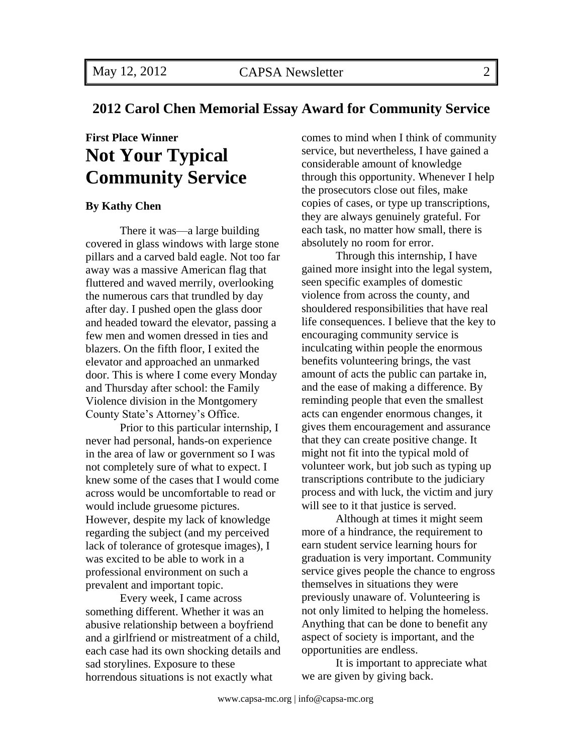## **2012 Carol Chen Memorial Essay Award for Community Service**

# **First Place Winner Not Your Typical Community Service**

#### **By Kathy Chen**

There it was—a large building covered in glass windows with large stone pillars and a carved bald eagle. Not too far away was a massive American flag that fluttered and waved merrily, overlooking the numerous cars that trundled by day after day. I pushed open the glass door and headed toward the elevator, passing a few men and women dressed in ties and blazers. On the fifth floor, I exited the elevator and approached an unmarked door. This is where I come every Monday and Thursday after school: the Family Violence division in the Montgomery County State's Attorney's Office.

Prior to this particular internship, I never had personal, hands-on experience in the area of law or government so I was not completely sure of what to expect. I knew some of the cases that I would come across would be uncomfortable to read or would include gruesome pictures. However, despite my lack of knowledge regarding the subject (and my perceived lack of tolerance of grotesque images), I was excited to be able to work in a professional environment on such a prevalent and important topic.

Every week, I came across something different. Whether it was an abusive relationship between a boyfriend and a girlfriend or mistreatment of a child, each case had its own shocking details and sad storylines. Exposure to these horrendous situations is not exactly what

comes to mind when I think of community service, but nevertheless, I have gained a considerable amount of knowledge through this opportunity. Whenever I help the prosecutors close out files, make copies of cases, or type up transcriptions, they are always genuinely grateful. For each task, no matter how small, there is absolutely no room for error.

Through this internship, I have gained more insight into the legal system, seen specific examples of domestic violence from across the county, and shouldered responsibilities that have real life consequences. I believe that the key to encouraging community service is inculcating within people the enormous benefits volunteering brings, the vast amount of acts the public can partake in, and the ease of making a difference. By reminding people that even the smallest acts can engender enormous changes, it gives them encouragement and assurance that they can create positive change. It might not fit into the typical mold of volunteer work, but job such as typing up transcriptions contribute to the judiciary process and with luck, the victim and jury will see to it that justice is served.

Although at times it might seem more of a hindrance, the requirement to earn student service learning hours for graduation is very important. Community service gives people the chance to engross themselves in situations they were previously unaware of. Volunteering is not only limited to helping the homeless. Anything that can be done to benefit any aspect of society is important, and the opportunities are endless.

It is important to appreciate what we are given by giving back.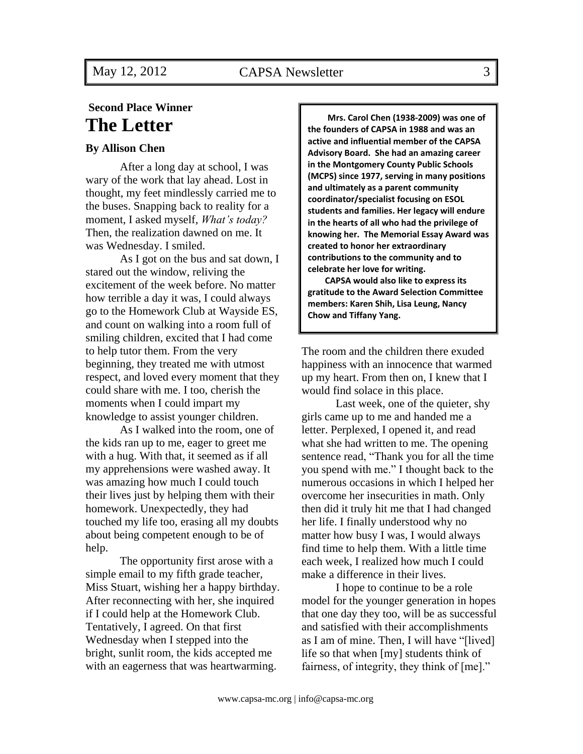## **Second Place Winner The Letter**

#### **By Allison Chen**

After a long day at school, I was wary of the work that lay ahead. Lost in thought, my feet mindlessly carried me to the buses. Snapping back to reality for a moment, I asked myself, *What's today?* Then, the realization dawned on me. It was Wednesday. I smiled.

As I got on the bus and sat down, I stared out the window, reliving the excitement of the week before. No matter how terrible a day it was, I could always go to the Homework Club at Wayside ES, and count on walking into a room full of smiling children, excited that I had come to help tutor them. From the very beginning, they treated me with utmost respect, and loved every moment that they could share with me. I too, cherish the moments when I could impart my knowledge to assist younger children.

As I walked into the room, one of the kids ran up to me, eager to greet me with a hug. With that, it seemed as if all my apprehensions were washed away. It was amazing how much I could touch their lives just by helping them with their homework. Unexpectedly, they had touched my life too, erasing all my doubts about being competent enough to be of help.

The opportunity first arose with a simple email to my fifth grade teacher, Miss Stuart, wishing her a happy birthday. After reconnecting with her, she inquired if I could help at the Homework Club. Tentatively, I agreed. On that first Wednesday when I stepped into the bright, sunlit room, the kids accepted me with an eagerness that was heartwarming.

**Mrs. Carol Chen (1938-2009) was one of the founders of CAPSA in 1988 and was an active and influential member of the CAPSA Advisory Board. She had an amazing career in the Montgomery County Public Schools (MCPS) since 1977, serving in many positions and ultimately as a parent community coordinator/specialist focusing on ESOL students and families. Her legacy will endure in the hearts of all who had the privilege of knowing her. The Memorial Essay Award was created to honor her extraordinary contributions to the community and to celebrate her love for writing.** 

**CAPSA would also like to express its gratitude to the Award Selection Committee members: Karen Shih, Lisa Leung, Nancy Chow and Tiffany Yang.**

The room and the children there exuded happiness with an innocence that warmed up my heart. From then on, I knew that I would find solace in this place.

Last week, one of the quieter, shy girls came up to me and handed me a letter. Perplexed, I opened it, and read what she had written to me. The opening sentence read, "Thank you for all the time you spend with me." I thought back to the numerous occasions in which I helped her overcome her insecurities in math. Only then did it truly hit me that I had changed her life. I finally understood why no matter how busy I was, I would always find time to help them. With a little time each week, I realized how much I could make a difference in their lives.

I hope to continue to be a role model for the younger generation in hopes that one day they too, will be as successful and satisfied with their accomplishments as I am of mine. Then, I will have "[lived] life so that when [my] students think of fairness, of integrity, they think of  $[me]$ ."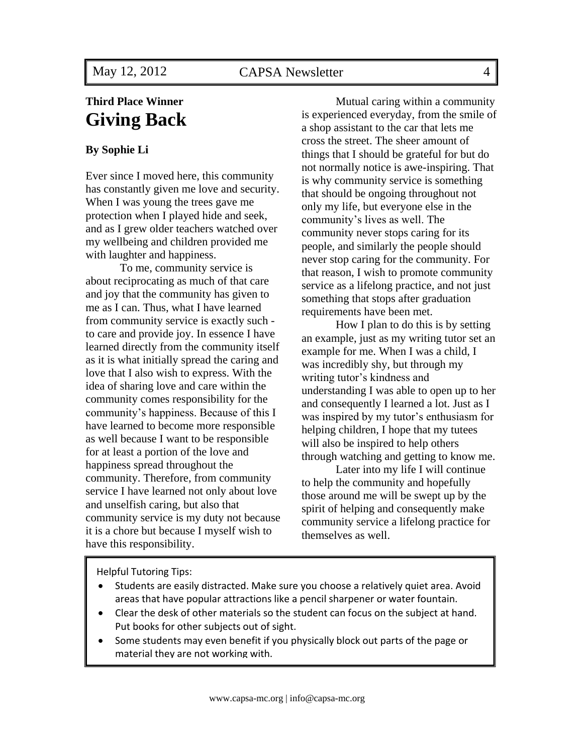## **Third Place Winner Giving Back**

### **By Sophie Li**

Ever since I moved here, this community has constantly given me love and security. When I was young the trees gave me protection when I played hide and seek, and as I grew older teachers watched over my wellbeing and children provided me with laughter and happiness.

To me, community service is about reciprocating as much of that care and joy that the community has given to me as I can. Thus, what I have learned from community service is exactly such to care and provide joy. In essence I have learned directly from the community itself as it is what initially spread the caring and love that I also wish to express. With the idea of sharing love and care within the community comes responsibility for the community's happiness. Because of this I have learned to become more responsible as well because I want to be responsible for at least a portion of the love and happiness spread throughout the community. Therefore, from community service I have learned not only about love and unselfish caring, but also that community service is my duty not because it is a chore but because I myself wish to have this responsibility.

Mutual caring within a community is experienced everyday, from the smile of a shop assistant to the car that lets me cross the street. The sheer amount of things that I should be grateful for but do not normally notice is awe-inspiring. That is why community service is something that should be ongoing throughout not only my life, but everyone else in the community's lives as well. The community never stops caring for its people, and similarly the people should never stop caring for the community. For that reason, I wish to promote community service as a lifelong practice, and not just something that stops after graduation requirements have been met.

How I plan to do this is by setting an example, just as my writing tutor set an example for me. When I was a child, I was incredibly shy, but through my writing tutor's kindness and understanding I was able to open up to her and consequently I learned a lot. Just as I was inspired by my tutor's enthusiasm for helping children, I hope that my tutees will also be inspired to help others through watching and getting to know me.

Later into my life I will continue to help the community and hopefully those around me will be swept up by the spirit of helping and consequently make community service a lifelong practice for themselves as well.

Helpful Tutoring Tips:

- Students are easily distracted. Make sure you choose a relatively quiet area. Avoid areas that have popular attractions like a pencil sharpener or water fountain.
- Clear the desk of other materials so the student can focus on the subject at hand. Put books for other subjects out of sight.
- Some students may even benefit if you physically block out parts of the page or material they are not working with.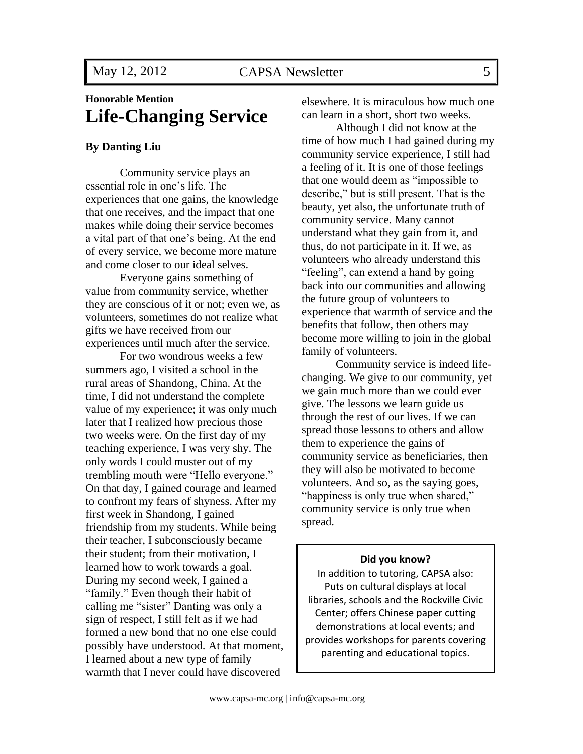## **Honorable Mention Life-Changing Service**

#### **By Danting Liu**

Community service plays an essential role in one's life. The experiences that one gains, the knowledge that one receives, and the impact that one makes while doing their service becomes a vital part of that one's being. At the end of every service, we become more mature and come closer to our ideal selves.

Everyone gains something of value from community service, whether they are conscious of it or not; even we, as volunteers, sometimes do not realize what gifts we have received from our experiences until much after the service.

For two wondrous weeks a few summers ago, I visited a school in the rural areas of Shandong, China. At the time, I did not understand the complete value of my experience; it was only much later that I realized how precious those two weeks were. On the first day of my teaching experience, I was very shy. The only words I could muster out of my trembling mouth were "Hello everyone." On that day, I gained courage and learned to confront my fears of shyness. After my first week in Shandong, I gained friendship from my students. While being their teacher, I subconsciously became their student; from their motivation, I learned how to work towards a goal. During my second week, I gained a "family." Even though their habit of calling me "sister" Danting was only a sign of respect, I still felt as if we had formed a new bond that no one else could possibly have understood. At that moment, I learned about a new type of family warmth that I never could have discovered

elsewhere. It is miraculous how much one can learn in a short, short two weeks.

Although I did not know at the time of how much I had gained during my community service experience, I still had a feeling of it. It is one of those feelings that one would deem as "impossible to describe," but is still present. That is the beauty, yet also, the unfortunate truth of community service. Many cannot understand what they gain from it, and thus, do not participate in it. If we, as volunteers who already understand this "feeling", can extend a hand by going back into our communities and allowing the future group of volunteers to experience that warmth of service and the benefits that follow, then others may become more willing to join in the global family of volunteers.

Community service is indeed lifechanging. We give to our community, yet we gain much more than we could ever give. The lessons we learn guide us through the rest of our lives. If we can spread those lessons to others and allow them to experience the gains of community service as beneficiaries, then they will also be motivated to become volunteers. And so, as the saying goes, "happiness is only true when shared," community service is only true when spread.

#### **Did you know?**

In addition to tutoring, CAPSA also: Puts on cultural displays at local libraries, schools and the Rockville Civic Center; offers Chinese paper cutting demonstrations at local events; and provides workshops for parents covering parenting and educational topics.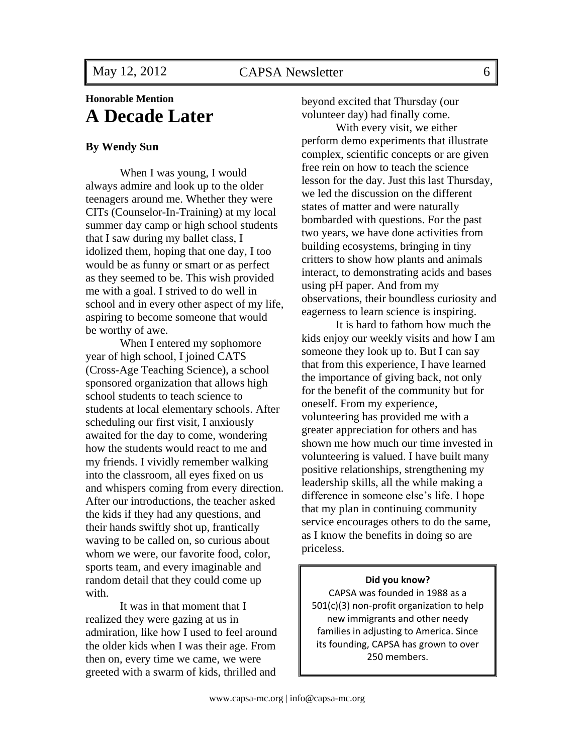## **Honorable Mention A Decade Later**

#### **By Wendy Sun**

When I was young, I would always admire and look up to the older teenagers around me. Whether they were CITs (Counselor-In-Training) at my local summer day camp or high school students that I saw during my ballet class, I idolized them, hoping that one day, I too would be as funny or smart or as perfect as they seemed to be. This wish provided me with a goal. I strived to do well in school and in every other aspect of my life, aspiring to become someone that would be worthy of awe.

When I entered my sophomore year of high school, I joined CATS (Cross-Age Teaching Science), a school sponsored organization that allows high school students to teach science to students at local elementary schools. After scheduling our first visit, I anxiously awaited for the day to come, wondering how the students would react to me and my friends. I vividly remember walking into the classroom, all eyes fixed on us and whispers coming from every direction. After our introductions, the teacher asked the kids if they had any questions, and their hands swiftly shot up, frantically waving to be called on, so curious about whom we were, our favorite food, color, sports team, and every imaginable and random detail that they could come up with.

It was in that moment that I realized they were gazing at us in admiration, like how I used to feel around the older kids when I was their age. From then on, every time we came, we were greeted with a swarm of kids, thrilled and

beyond excited that Thursday (our volunteer day) had finally come.

With every visit, we either perform demo experiments that illustrate complex, scientific concepts or are given free rein on how to teach the science lesson for the day. Just this last Thursday, we led the discussion on the different states of matter and were naturally bombarded with questions. For the past two years, we have done activities from building ecosystems, bringing in tiny critters to show how plants and animals interact, to demonstrating acids and bases using pH paper. And from my observations, their boundless curiosity and eagerness to learn science is inspiring.

It is hard to fathom how much the kids enjoy our weekly visits and how I am someone they look up to. But I can say that from this experience, I have learned the importance of giving back, not only for the benefit of the community but for oneself. From my experience, volunteering has provided me with a greater appreciation for others and has shown me how much our time invested in volunteering is valued. I have built many positive relationships, strengthening my leadership skills, all the while making a difference in someone else's life. I hope that my plan in continuing community service encourages others to do the same, as I know the benefits in doing so are priceless.

#### **Did you know?**

CAPSA was founded in 1988 as a 501(c)(3) non-profit organization to help new immigrants and other needy families in adjusting to America. Since its founding, CAPSA has grown to over 250 members.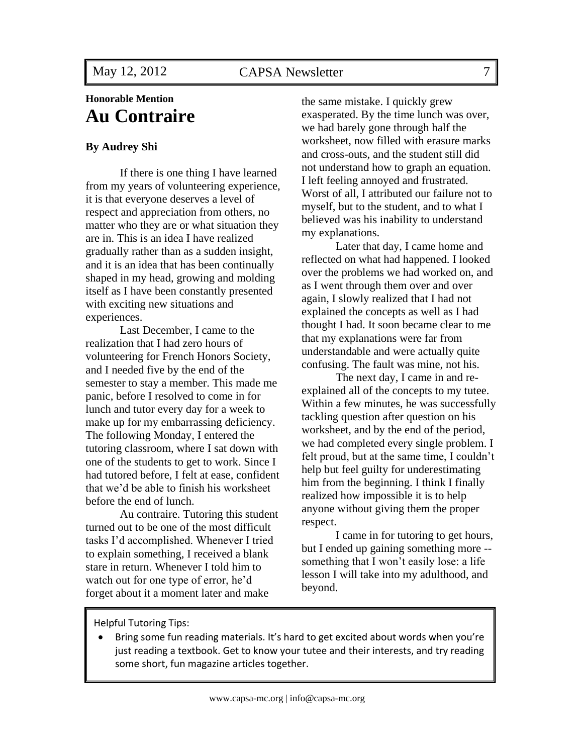## **Honorable Mention Au Contraire**

#### **By Audrey Shi**

If there is one thing I have learned from my years of volunteering experience, it is that everyone deserves a level of respect and appreciation from others, no matter who they are or what situation they are in. This is an idea I have realized gradually rather than as a sudden insight, and it is an idea that has been continually shaped in my head, growing and molding itself as I have been constantly presented with exciting new situations and experiences.

Last December, I came to the realization that I had zero hours of volunteering for French Honors Society, and I needed five by the end of the semester to stay a member. This made me panic, before I resolved to come in for lunch and tutor every day for a week to make up for my embarrassing deficiency. The following Monday, I entered the tutoring classroom, where I sat down with one of the students to get to work. Since I had tutored before, I felt at ease, confident that we'd be able to finish his worksheet before the end of lunch.

Au contraire. Tutoring this student turned out to be one of the most difficult tasks I'd accomplished. Whenever I tried to explain something, I received a blank stare in return. Whenever I told him to watch out for one type of error, he'd forget about it a moment later and make

the same mistake. I quickly grew exasperated. By the time lunch was over, we had barely gone through half the worksheet, now filled with erasure marks and cross-outs, and the student still did not understand how to graph an equation. I left feeling annoyed and frustrated. Worst of all, I attributed our failure not to myself, but to the student, and to what I believed was his inability to understand my explanations.

Later that day, I came home and reflected on what had happened. I looked over the problems we had worked on, and as I went through them over and over again, I slowly realized that I had not explained the concepts as well as I had thought I had. It soon became clear to me that my explanations were far from understandable and were actually quite confusing. The fault was mine, not his.

The next day, I came in and reexplained all of the concepts to my tutee. Within a few minutes, he was successfully tackling question after question on his worksheet, and by the end of the period, we had completed every single problem. I felt proud, but at the same time, I couldn't help but feel guilty for underestimating him from the beginning. I think I finally realized how impossible it is to help anyone without giving them the proper respect.

I came in for tutoring to get hours, but I ended up gaining something more - something that I won't easily lose: a life lesson I will take into my adulthood, and beyond.

Helpful Tutoring Tips:

 Bring some fun reading materials. It's hard to get excited about words when you're just reading a textbook. Get to know your tutee and their interests, and try reading some short, fun magazine articles together.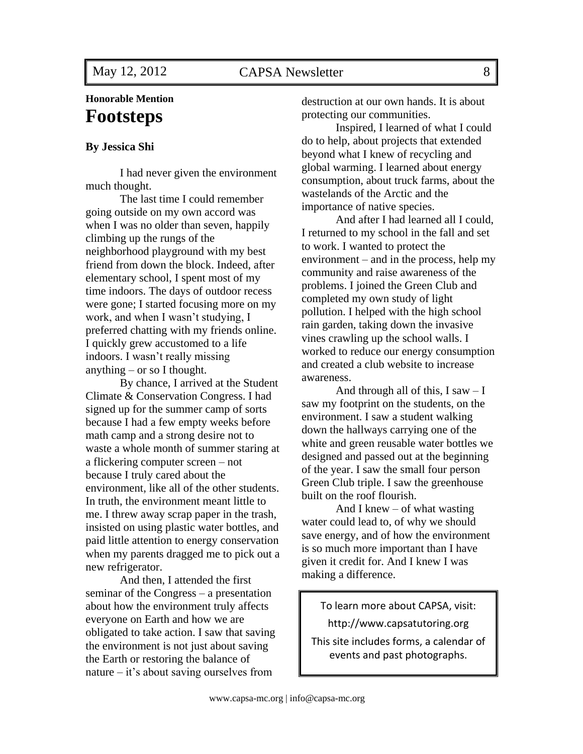## **Honorable Mention Footsteps**

#### **By Jessica Shi**

I had never given the environment much thought.

The last time I could remember going outside on my own accord was when I was no older than seven, happily climbing up the rungs of the neighborhood playground with my best friend from down the block. Indeed, after elementary school, I spent most of my time indoors. The days of outdoor recess were gone; I started focusing more on my work, and when I wasn't studying, I preferred chatting with my friends online. I quickly grew accustomed to a life indoors. I wasn't really missing anything – or so I thought.

By chance, I arrived at the Student Climate & Conservation Congress. I had signed up for the summer camp of sorts because I had a few empty weeks before math camp and a strong desire not to waste a whole month of summer staring at a flickering computer screen – not because I truly cared about the environment, like all of the other students. In truth, the environment meant little to me. I threw away scrap paper in the trash, insisted on using plastic water bottles, and paid little attention to energy conservation when my parents dragged me to pick out a new refrigerator.

And then, I attended the first seminar of the Congress – a presentation about how the environment truly affects everyone on Earth and how we are obligated to take action. I saw that saving the environment is not just about saving the Earth or restoring the balance of nature – it's about saving ourselves from

destruction at our own hands. It is about protecting our communities.

Inspired, I learned of what I could do to help, about projects that extended beyond what I knew of recycling and global warming. I learned about energy consumption, about truck farms, about the wastelands of the Arctic and the importance of native species.

And after I had learned all I could, I returned to my school in the fall and set to work. I wanted to protect the environment – and in the process, help my community and raise awareness of the problems. I joined the Green Club and completed my own study of light pollution. I helped with the high school rain garden, taking down the invasive vines crawling up the school walls. I worked to reduce our energy consumption and created a club website to increase awareness.

And through all of this,  $I saw - I$ saw my footprint on the students, on the environment. I saw a student walking down the hallways carrying one of the white and green reusable water bottles we designed and passed out at the beginning of the year. I saw the small four person Green Club triple. I saw the greenhouse built on the roof flourish.

And I knew – of what wasting water could lead to, of why we should save energy, and of how the environment is so much more important than I have given it credit for. And I knew I was making a difference.

## To learn more about CAPSA, visit: http://www.capsatutoring.org

This site includes forms, a calendar of events and past photographs.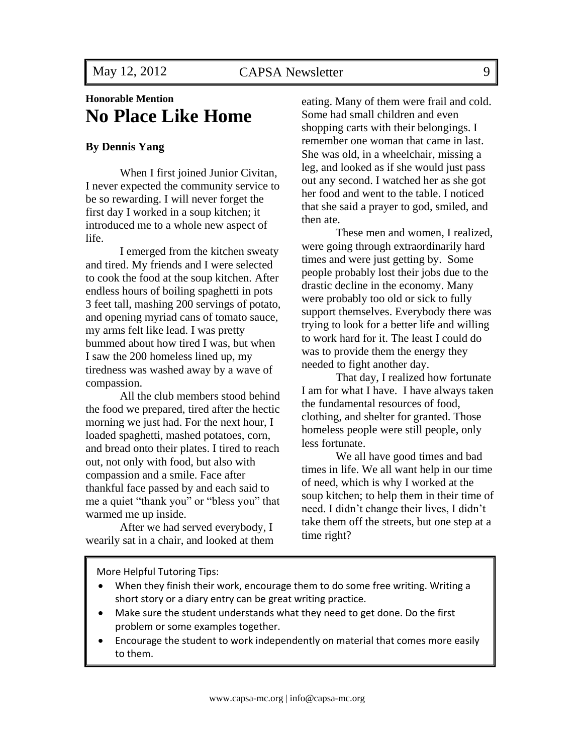## **Honorable Mention No Place Like Home**

#### **By Dennis Yang**

When I first joined Junior Civitan, I never expected the community service to be so rewarding. I will never forget the first day I worked in a soup kitchen; it introduced me to a whole new aspect of life.

I emerged from the kitchen sweaty and tired. My friends and I were selected to cook the food at the soup kitchen. After endless hours of boiling spaghetti in pots 3 feet tall, mashing 200 servings of potato, and opening myriad cans of tomato sauce, my arms felt like lead. I was pretty bummed about how tired I was, but when I saw the 200 homeless lined up, my tiredness was washed away by a wave of compassion.

All the club members stood behind the food we prepared, tired after the hectic morning we just had. For the next hour, I loaded spaghetti, mashed potatoes, corn, and bread onto their plates. I tired to reach out, not only with food, but also with compassion and a smile. Face after thankful face passed by and each said to me a quiet "thank you" or "bless you" that warmed me up inside.

After we had served everybody, I wearily sat in a chair, and looked at them eating. Many of them were frail and cold. Some had small children and even shopping carts with their belongings. I remember one woman that came in last. She was old, in a wheelchair, missing a leg, and looked as if she would just pass out any second. I watched her as she got her food and went to the table. I noticed that she said a prayer to god, smiled, and then ate.

These men and women, I realized, were going through extraordinarily hard times and were just getting by. Some people probably lost their jobs due to the drastic decline in the economy. Many were probably too old or sick to fully support themselves. Everybody there was trying to look for a better life and willing to work hard for it. The least I could do was to provide them the energy they needed to fight another day.

That day, I realized how fortunate I am for what I have. I have always taken the fundamental resources of food, clothing, and shelter for granted. Those homeless people were still people, only less fortunate.

We all have good times and bad times in life. We all want help in our time of need, which is why I worked at the soup kitchen; to help them in their time of need. I didn't change their lives, I didn't take them off the streets, but one step at a time right?

More Helpful Tutoring Tips:

- When they finish their work, encourage them to do some free writing. Writing a short story or a diary entry can be great writing practice.
- Make sure the student understands what they need to get done. Do the first problem or some examples together.
- Encourage the student to work independently on material that comes more easily to them.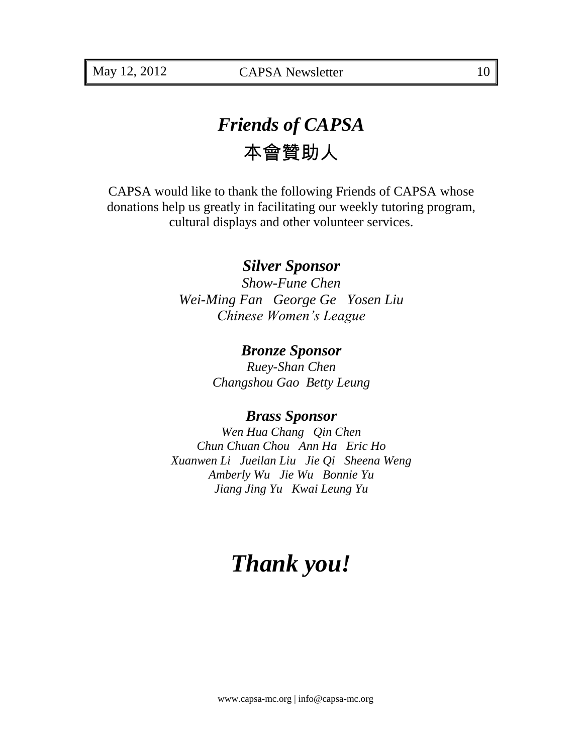# *Friends of CAPSA*  本會贊助人

CAPSA would like to thank the following Friends of CAPSA whose donations help us greatly in facilitating our weekly tutoring program, cultural displays and other volunteer services.

## *Silver Sponsor*

*Show-Fune Chen Wei-Ming Fan George Ge Yosen Liu Chinese Women's League*

## *Bronze Sponsor*

*Ruey-Shan Chen Changshou Gao Betty Leung*

## *Brass Sponsor*

*Wen Hua Chang Qin Chen Chun Chuan Chou Ann Ha Eric Ho Xuanwen Li Jueilan Liu Jie Qi Sheena Weng Amberly Wu Jie Wu Bonnie Yu Jiang Jing Yu Kwai Leung Yu*

# *Thank you!*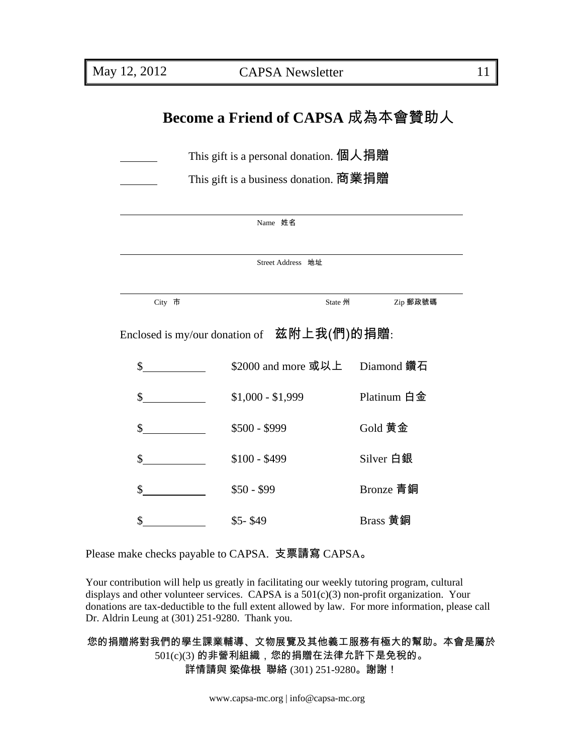# **Become a Friend of CAPSA** 成為本會贊助人

| This gift is a personal donation. 個人捐贈 |
|----------------------------------------|
|----------------------------------------|

This gift is a business donation. 商業捐贈

|                                                 | Name 姓名                        |             |  |  |
|-------------------------------------------------|--------------------------------|-------------|--|--|
|                                                 |                                |             |  |  |
| Street Address 地址                               |                                |             |  |  |
|                                                 |                                |             |  |  |
| City 市                                          | State 州                        | Zip 郵政號碼    |  |  |
| Enclosed is my/our donation of $\;$ 兹附上我(們)的捐贈: |                                |             |  |  |
| $\mathbb{S}$                                    | \$2000 and more 或以上 Diamond 鑽石 |             |  |  |
| \$                                              | $$1,000 - $1,999$              | Platinum 白金 |  |  |
| $\mathbb{S}$                                    | $$500 - $999$                  | Gold 黄金     |  |  |
| \$                                              | $$100 - $499$                  | Silver 白銀   |  |  |
| \$<br>$\overline{\phantom{a}}$                  | $$50 - $99$                    | Bronze 青銅   |  |  |
| \$                                              | $$5-$49$                       | Brass 黄銅    |  |  |

Please make checks payable to CAPSA. 支票請寫 CAPSA。

Your contribution will help us greatly in facilitating our weekly tutoring program, cultural displays and other volunteer services. CAPSA is a  $501(c)(3)$  non-profit organization. Your donations are tax-deductible to the full extent allowed by law. For more information, please call Dr. Aldrin Leung at (301) 251-9280. Thank you.

### 您的捐贈將對我們的學生課業輔導、文物展覽及其他義工服務有極大的幫助。本會是屬於 501(c)(3) 的非營利組織,您的捐贈在法律允許下是免稅的。 詳情請與 梁偉根 聯絡 (301) 251-9280。謝謝!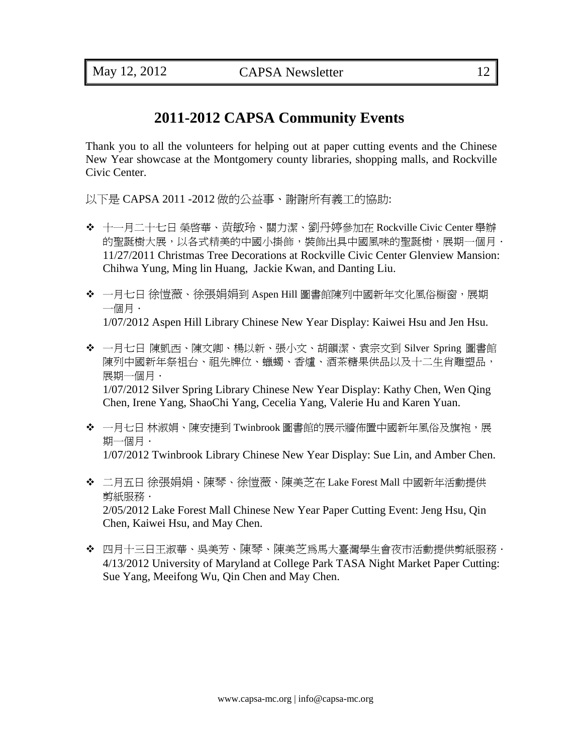## **2011-2012 CAPSA Community Events**

Thank you to all the volunteers for helping out at paper cutting events and the Chinese New Year showcase at the Montgomery county libraries, shopping malls, and Rockville Civic Center.

以下是 CAPSA 2011 -2012 做的公益事、謝謝所有義工的協助:

- 十一月二十七日 榮啟華、黄敏玲、關力潔、劉丹婷參加在 Rockville Civic Center 舉辦 的聖誕樹大展,以各式精美的中國小掛飾,裝飾出具中國風味的聖誕樹,展期一個月, 11/27/2011 Christmas Tree Decorations at Rockville Civic Center Glenview Mansion: Chihwa Yung, Ming lin Huang, Jackie Kwan, and Danting Liu.
- ◆ 一月七日 徐愷薇、徐張娟娟到 Aspen Hill 圖書館陳列中國新年文化風俗橱窗,展期 一個月. 1/07/2012 Aspen Hill Library Chinese New Year Display: Kaiwei Hsu and Jen Hsu.
- 一月七日 陳凱西、陳文卿、楊以新、張小文、胡韻潔、袁宗文到 Silver Spring 圖書館 陳列中國新年祭祖台、祖先牌位、蠟蠋、香爐、酒茶糖果供品以及十二生肖雕塑品, 展期一個月・ 1/07/2012 Silver Spring Library Chinese New Year Display: Kathy Chen, Wen Qing Chen, Irene Yang, ShaoChi Yang, Cecelia Yang, Valerie Hu and Karen Yuan.
- ◆ 一月七日 林淑娟、陳安捷到 Twinbrook 圖書館的展示牆佈置中國新年風俗及旗袍,展 期一個月. 1/07/2012 Twinbrook Library Chinese New Year Display: Sue Lin, and Amber Chen.
- 二月五日 徐張娟娟、陳琴、徐愷薇、陳美芝在 Lake Forest Mall 中國新年活動提供 剪紙服務. 2/05/2012 Lake Forest Mall Chinese New Year Paper Cutting Event: Jeng Hsu, Qin Chen, Kaiwei Hsu, and May Chen.
- ◆ 四月十三日王淑華、吳美芳、陳琴、陳美芝為馬大臺灣學生會夜市活動提供剪紙服務. 4/13/2012 University of Maryland at College Park TASA Night Market Paper Cutting: Sue Yang, Meeifong Wu, Qin Chen and May Chen.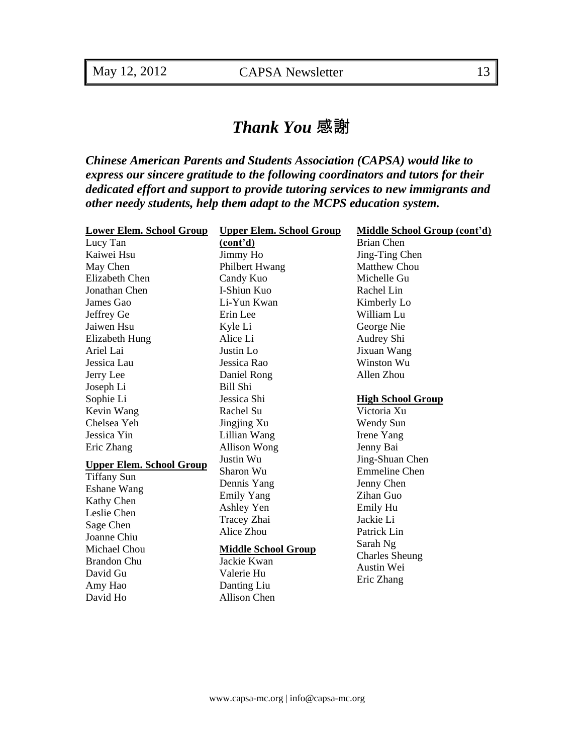# *Thank You* 感謝

*Chinese American Parents and Students Association (CAPSA) would like to express our sincere gratitude to the following coordinators and tutors for their dedicated effort and support to provide tutoring services to new immigrants and other needy students, help them adapt to the MCPS education system.*

| <b>Lower Elem. School Group</b> | <b>Upper Elem. School Group</b> | <b>Middle School Group (cont'd)</b> |
|---------------------------------|---------------------------------|-------------------------------------|
| Lucy Tan                        | (cont'd)                        | Brian Chen                          |
| Kaiwei Hsu                      | Jimmy Ho                        | Jing-Ting Chen                      |
| May Chen                        | Philbert Hwang                  | <b>Matthew Chou</b>                 |
| <b>Elizabeth Chen</b>           | Candy Kuo                       | Michelle Gu                         |
| Jonathan Chen                   | I-Shiun Kuo                     | Rachel Lin                          |
| James Gao                       | Li-Yun Kwan                     | Kimberly Lo                         |
| Jeffrey Ge                      | Erin Lee                        | William Lu                          |
| Jaiwen Hsu                      | Kyle Li                         | George Nie                          |
| Elizabeth Hung                  | Alice Li                        | Audrey Shi                          |
| Ariel Lai                       | Justin Lo                       | Jixuan Wang                         |
| Jessica Lau                     | Jessica Rao                     | Winston Wu                          |
| Jerry Lee                       | Daniel Rong                     | Allen Zhou                          |
| Joseph Li                       | Bill Shi                        |                                     |
| Sophie Li                       | Jessica Shi                     | <b>High School Group</b>            |
| Kevin Wang                      | Rachel Su                       | Victoria Xu                         |
| Chelsea Yeh                     | Jingjing Xu                     | Wendy Sun                           |
| Jessica Yin                     | Lillian Wang                    | Irene Yang                          |
| Eric Zhang                      | <b>Allison Wong</b>             | Jenny Bai                           |
| <b>Upper Elem. School Group</b> | Justin Wu                       | Jing-Shuan Chen                     |
| <b>Tiffany Sun</b>              | Sharon Wu                       | <b>Emmeline Chen</b>                |
| Eshane Wang                     | Dennis Yang                     | Jenny Chen                          |
| Kathy Chen                      | <b>Emily Yang</b>               | Zihan Guo                           |
| Leslie Chen                     | Ashley Yen                      | Emily Hu                            |
| Sage Chen                       | Tracey Zhai                     | Jackie Li                           |
| Joanne Chiu                     | Alice Zhou                      | Patrick Lin                         |
| Michael Chou                    | <b>Middle School Group</b>      | Sarah Ng                            |
| Brandon Chu                     | Jackie Kwan                     | <b>Charles Sheung</b>               |
| David Gu                        | Valerie Hu                      | Austin Wei                          |
| Amy Hao                         | Danting Liu                     | Eric Zhang                          |
| David Ho                        | <b>Allison Chen</b>             |                                     |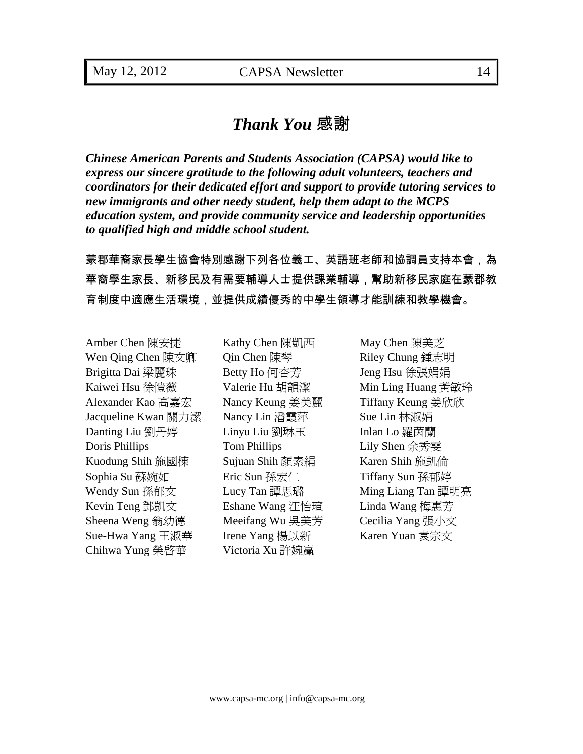## *Thank You* 感謝

*Chinese American Parents and Students Association (CAPSA) would like to express our sincere gratitude to the following adult volunteers, teachers and coordinators for their dedicated effort and support to provide tutoring services to new immigrants and other needy student, help them adapt to the MCPS education system, and provide community service and leadership opportunities to qualified high and middle school student.*

蒙郡華裔家長學生協會特別感謝下列各位義工、英語班老師和協調員支持本會,為 華裔學生家長、新移民及有需要輔導人士提供課業輔導,幫助新移民家庭在蒙郡教 育制度中適應生活環境,並提供成績優秀的中學生領導才能訓練和教學機會。

Amber Chen 陳安捷 Kathy Chen 陳凱西 May Chen 陳美芝 Wen Qing Chen 陳文卿 (Color Chen 陳琴 Riley Chung 鍾志明) Brigitta Dai 梁麗珠 Betty Ho 何杏芳 Jeng Hsu 徐張娟娟 Kaiwei Hsu 徐愷薇 <br>
Valerie Hu 胡韻潔 <br>
Min Ling Huang 黃敏玲 Alexander Kao 高嘉宏 Nancy Keung 姜美麗 Tiffany Keung 姜欣欣 Jacqueline Kwan 關力潔 Nancy Lin 潘霞萍 Sue Lin 林淑娟 Danting Liu 劉丹婷 Linyu Liu 劉琳玉 Inlan Lo 羅茵蘭 Doris Phillips Tom Phillips Lily Shen 余秀雯 Kuodung Shih 施國棟 Sujuan Shih 顏素絹 Karen Shih 施凱倫 Sophia Su 蘇婉如 **Eric Sun 孫宏仁** Tiffany Sun 孫郁婷 Wendy Sun 孫郁文 Lucy Tan 譚思璐 Ming Liang Tan 譚明亮 Kevin Teng 鄧凱文 **Eshane Wang 汪怡瑄 Linda Wang 梅惠芳** Sheena Weng 翁幼德 Meeifang Wu 吳美芳 Cecilia Yang 張小文 Sue-Hwa Yang 王淑華 Irene Yang 楊以新 Karen Yuan 袁宗文 Chihwa Yung 榮啟華 Victoria Xu 許婉赢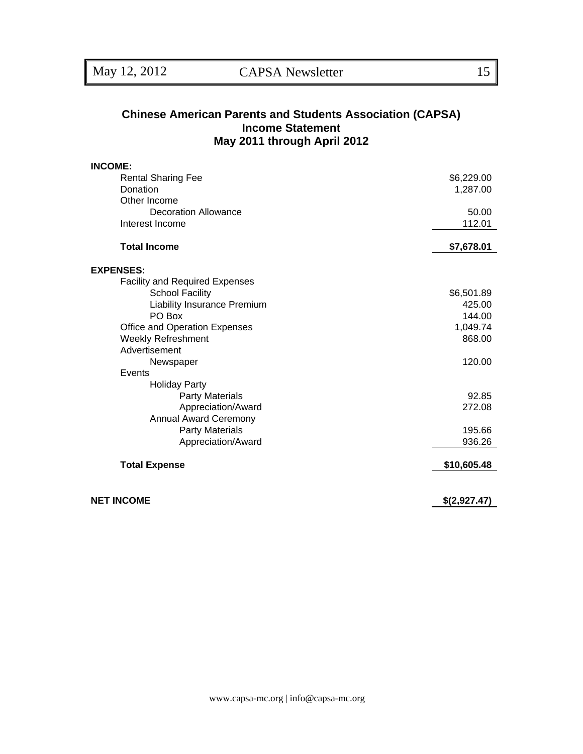#### **Chinese American Parents and Students Association (CAPSA) Income Statement May 2011 through April 2012**

| <b>INCOME:</b>                        |              |
|---------------------------------------|--------------|
| <b>Rental Sharing Fee</b>             | \$6,229.00   |
| Donation                              | 1,287.00     |
| Other Income                          |              |
| <b>Decoration Allowance</b>           | 50.00        |
| Interest Income                       | 112.01       |
| <b>Total Income</b>                   | \$7,678.01   |
| <b>EXPENSES:</b>                      |              |
| <b>Facility and Required Expenses</b> |              |
| <b>School Facility</b>                | \$6,501.89   |
| Liability Insurance Premium           | 425.00       |
| PO Box                                | 144.00       |
| Office and Operation Expenses         | 1,049.74     |
| Weekly Refreshment                    | 868.00       |
| Advertisement                         |              |
| Newspaper                             | 120.00       |
| Events                                |              |
| <b>Holiday Party</b>                  |              |
| <b>Party Materials</b>                | 92.85        |
| Appreciation/Award                    | 272.08       |
| <b>Annual Award Ceremony</b>          |              |
| <b>Party Materials</b>                | 195.66       |
| Appreciation/Award                    | 936.26       |
| <b>Total Expense</b>                  | \$10,605.48  |
| <b>NET INCOME</b>                     | \$(2,927.47) |